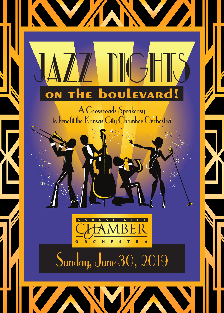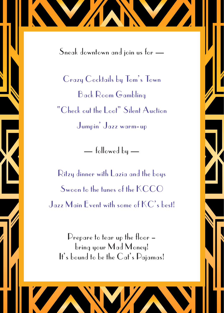Sneak downtown and join us for —

Crazy Cocktails by Tom's Town Back Room Gambling "Check out the Loot" Silent Auction Jumpin' Jazz warm-up

— followed by —

Ritzy dinner with Lazia and the boys Swoon to the tunes of the KCCO Jazz Main Event with some of KC's best!

Prepare to tear up the floor – bring your Mad Money! It's bound to be the Cat's Pajamas!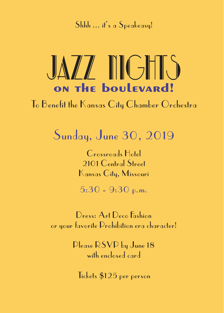Shhh ... it's a Speakeasy!



To Benefit the Kansas City Chamber Orchestra

Sunday, June 30, 2019

Crossroads Hotel 2101 Central Street Kansas City, Missouri

5:30 - 9:30 p.m.

Dress: Art Deco Fashion or your favorite Prohibition era character!

> Please RSVP by June 18 with enclosed card

Tickets \$125 per person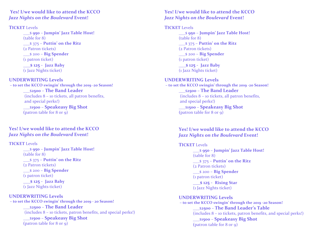**Yes! I/we would like to attend the KCCO** *Jazz Nights on the Boulevard Event!* 

### **TICKET** Levels

\_\_\_\$ **950** – **Jumpin' Jazz Table Host!**  $(table for 8)$ \_\_\_\$ 375 – **Puttin' on the Ritz** (2 Patron tickets) \_\_\_\$ 200 – **Big Spender** (1 patron ticket) **\_\_\_\$ 125** - **Jazz Baby** (1 Jazz Nights ticket)

### **UNDERWRITING Levels**

**– to set the KCCO swingin' through the 2019 -20 Season!** \_\_\_\$**2500** – **The Band Leader** (includes  $8 -$  10 tickets, all patron benefits, and special perks!) \_\_\_\$**1500** – **Speakeasy Big Shot (**patron table for 8 or 9)

## **Yes! I/we would like to attend the KCCO** *Jazz Nights on the Boulevard Event!*

### **TICKET** Levels

\_\_\_\$ **950** – **Jumpin' Jazz Table Host!**  $(table for 8)$ \_\_\_\$ 375 – **Puttin' on the Ritz** (2 Patron tickets) \_\_\_\$ 200 – **Big Spender** (1 patron ticket) **\_\_\_\$ 125** - **Jazz Baby**

(1 Jazz Nights ticket)

**UNDERWRITING Levels – to set the KCCO swingin' through the 2019 - 20 Season!** \_\_\_\$**2500** – **The Band Leader**  $(includes 8 - 10 tickets, patron benefits, and special perhaps!)$ \_\_\_\$**1500** – **Speakeasy Big Shot (**patron table for 8 or 9)

### **Yes! I/we would like to attend the KCCO** *Jazz Nights on the Boulevard Event!*

# **TICKET** Levels

\_\_\_\$ **950** – **Jumpin' Jazz Table Host!**  $(table for 8)$ \_\_\_\$ 375 – **Puttin' on the Ritz** (2 Patron tickets) \_\_\_\$ 200 – **Big Spender** (1 patron ticket) **\_\_\_\$ 125** - **Jazz Baby**

(1 Jazz Nights ticket)

### **UNDERWRITING Levels**

**– to set the KCCO swingin' through the 2019 -20 Season!** \_\_\_\$**2500** – **The Band Leader**  $(includes 8 - 10 tickets, all patron benefits,$ and special perks!) \_\_\_\$**1500** – **Speakeasy Big Shot (**patron table for 8 or 9)

# **Yes! I/we would like to attend the KCCO** *Jazz Nights on the Boulevard Event!*

# **TICKET** Levels

\_\_\_\$ **950** – **Jumpin' Jazz Table Host!** (table for 8) \_\_\_\$ 375 – **Puttin' on the Ritz** (2 Patron tickets) \_\_\_\$ 200 – **Big Spender** (1 patron ticket) **\_\_\_\$ 125** - **Rising Star** (1 Jazz Nights ticket)

### **UNDERWRITING Levels**

**– to set the KCCO swingin' through the 2019 -20 Season!** \_\_\_\$**2500** – **The Band Leader's Table**  $(includes 8 - 10 tickets, patron benefits, and special perhaps!)$ \_\_\_\$**1500** – **Speakeasy Big Shot (**patron table for 8 or 9)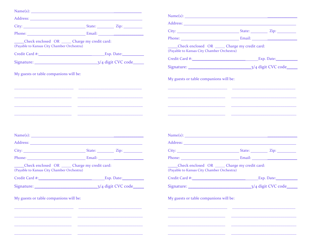| Address: National Address: National Address: National Address: National Address: National Address: National Address: National Address: National Address: National Address: National Address: National Address: National Addres |                                                                                                                                                                                                                                |                                                                                               | Name(s):                                                                                                                                                                                                                       |
|--------------------------------------------------------------------------------------------------------------------------------------------------------------------------------------------------------------------------------|--------------------------------------------------------------------------------------------------------------------------------------------------------------------------------------------------------------------------------|-----------------------------------------------------------------------------------------------|--------------------------------------------------------------------------------------------------------------------------------------------------------------------------------------------------------------------------------|
|                                                                                                                                                                                                                                |                                                                                                                                                                                                                                |                                                                                               |                                                                                                                                                                                                                                |
|                                                                                                                                                                                                                                | Phone: Email: Email: Email: 2007. [2016] [2016] [2016] [2016] [2016] [2016] [2016] [2016] [2016] [2016] [2016] [2016] [2016] [2016] [2016] [2016] [2016] [2016] [2016] [2016] [2016] [2016] [2016] [2016] [2016] [2016] [2016] |                                                                                               |                                                                                                                                                                                                                                |
| Check enclosed OR ______ Charge my credit card:<br>(Payable to Kansas City Chamber Orchestra)                                                                                                                                  |                                                                                                                                                                                                                                | Check enclosed OR ______ Charge my credit card:<br>(Payable to Kansas City Chamber Orchestra) |                                                                                                                                                                                                                                |
|                                                                                                                                                                                                                                |                                                                                                                                                                                                                                |                                                                                               |                                                                                                                                                                                                                                |
|                                                                                                                                                                                                                                |                                                                                                                                                                                                                                |                                                                                               |                                                                                                                                                                                                                                |
| My guests or table companions will be:                                                                                                                                                                                         |                                                                                                                                                                                                                                | My guests or table companions will be:<br><u> 1989 - Johann John Harry (f. 1989)</u>          |                                                                                                                                                                                                                                |
|                                                                                                                                                                                                                                | <u> 1999 - Johann Harry Harry Harry Harry Harry Harry Harry Harry Harry Harry Harry Harry Harry Harry Harry Harry</u>                                                                                                          |                                                                                               |                                                                                                                                                                                                                                |
|                                                                                                                                                                                                                                |                                                                                                                                                                                                                                |                                                                                               | Name(s):                                                                                                                                                                                                                       |
|                                                                                                                                                                                                                                |                                                                                                                                                                                                                                |                                                                                               |                                                                                                                                                                                                                                |
|                                                                                                                                                                                                                                | Phone: Email: Email: Email: 2007. [2016] [2016] [2016] [2016] [2016] [2016] [2016] [2016] [2016] [2016] [2016] [2016] [2016] [2016] [2016] [2016] [2016] [2016] [2016] [2016] [2016] [2016] [2016] [2016] [2016] [2016] [2016] |                                                                                               | Phone: Email: Email: Email: 2007. [2016] [2016] [2016] [2016] [2016] [2016] [2016] [2016] [2016] [2016] [2016] [2016] [2016] [2016] [2016] [2016] [2016] [2016] [2016] [2016] [2016] [2016] [2016] [2016] [2016] [2016] [2016] |
| Check enclosed OR ______ Charge my credit card:<br>(Payable to Kansas City Chamber Orchestra)                                                                                                                                  |                                                                                                                                                                                                                                | Check enclosed OR ______ Charge my credit card:<br>(Payable to Kansas City Chamber Orchestra) |                                                                                                                                                                                                                                |
|                                                                                                                                                                                                                                | Credit Card #: Card #: Exp. Date:                                                                                                                                                                                              |                                                                                               | Credit Card #: Exp. Date:                                                                                                                                                                                                      |
|                                                                                                                                                                                                                                | 3/4 digit CVC code                                                                                                                                                                                                             |                                                                                               | 3/4 digit CVC code                                                                                                                                                                                                             |
| My guests or table companions will be:                                                                                                                                                                                         |                                                                                                                                                                                                                                | My guests or table companions will be:                                                        |                                                                                                                                                                                                                                |
|                                                                                                                                                                                                                                |                                                                                                                                                                                                                                |                                                                                               |                                                                                                                                                                                                                                |
|                                                                                                                                                                                                                                |                                                                                                                                                                                                                                |                                                                                               |                                                                                                                                                                                                                                |
|                                                                                                                                                                                                                                |                                                                                                                                                                                                                                |                                                                                               |                                                                                                                                                                                                                                |